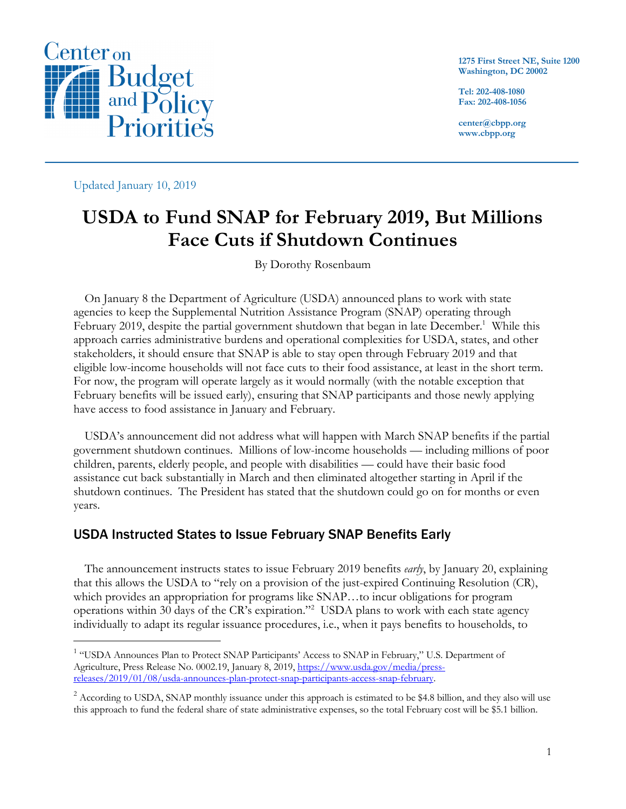

**1275 First Street NE, Suite 1200 Washington, DC 20002**

**Tel: 202-408-1080 Fax: 202-408-1056**

**center@cbpp.org www.cbpp.org**

Updated January 10, 2019

# **USDA to Fund SNAP for February 2019, But Millions Face Cuts if Shutdown Continues**

By Dorothy Rosenbaum

On January 8 the Department of Agriculture (USDA) announced plans to work with state agencies to keep the Supplemental Nutrition Assistance Program (SNAP) operating through February 2019, despite the partial government shutdown that began in late December.<sup>1</sup> While this approach carries administrative burdens and operational complexities for USDA, states, and other stakeholders, it should ensure that SNAP is able to stay open through February 2019 and that eligible low-income households will not face cuts to their food assistance, at least in the short term. For now, the program will operate largely as it would normally (with the notable exception that February benefits will be issued early), ensuring that SNAP participants and those newly applying have access to food assistance in January and February.

USDA's announcement did not address what will happen with March SNAP benefits if the partial government shutdown continues. Millions of low-income households — including millions of poor children, parents, elderly people, and people with disabilities — could have their basic food assistance cut back substantially in March and then eliminated altogether starting in April if the shutdown continues. The President has stated that the shutdown could go on for months or even years.

### USDA Instructed States to Issue February SNAP Benefits Early

The announcement instructs states to issue February 2019 benefits *early*, by January 20, explaining that this allows the USDA to "rely on a provision of the just-expired Continuing Resolution (CR), which provides an appropriation for programs like SNAP…to incur obligations for program operations within 30 days of the CR's expiration."2 USDA plans to work with each state agency individually to adapt its regular issuance procedures, i.e., when it pays benefits to households, to

<sup>&</sup>lt;sup>1</sup> "USDA Announces Plan to Protect SNAP Participants' Access to SNAP in February," U.S. Department of Agriculture, Press Release No. 0002.19, January 8, 2019, https://www.usda.gov/media/pressreleases/2019/01/08/usda-announces-plan-protect-snap-participants-access-snap-february.

<sup>&</sup>lt;sup>2</sup> According to USDA, SNAP monthly issuance under this approach is estimated to be \$4.8 billion, and they also will use this approach to fund the federal share of state administrative expenses, so the total February cost will be \$5.1 billion.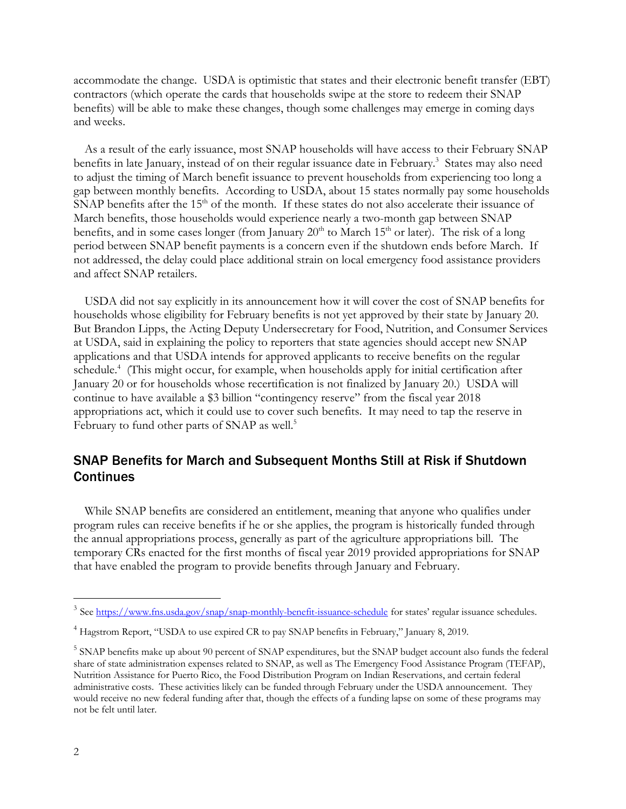accommodate the change. USDA is optimistic that states and their electronic benefit transfer (EBT) contractors (which operate the cards that households swipe at the store to redeem their SNAP benefits) will be able to make these changes, though some challenges may emerge in coming days and weeks.

As a result of the early issuance, most SNAP households will have access to their February SNAP benefits in late January, instead of on their regular issuance date in February.<sup>3</sup> States may also need to adjust the timing of March benefit issuance to prevent households from experiencing too long a gap between monthly benefits. According to USDA, about 15 states normally pay some households SNAP benefits after the 15<sup>th</sup> of the month. If these states do not also accelerate their issuance of March benefits, those households would experience nearly a two-month gap between SNAP benefits, and in some cases longer (from January  $20<sup>th</sup>$  to March 15<sup>th</sup> or later). The risk of a long period between SNAP benefit payments is a concern even if the shutdown ends before March. If not addressed, the delay could place additional strain on local emergency food assistance providers and affect SNAP retailers.

USDA did not say explicitly in its announcement how it will cover the cost of SNAP benefits for households whose eligibility for February benefits is not yet approved by their state by January 20. But Brandon Lipps, the Acting Deputy Undersecretary for Food, Nutrition, and Consumer Services at USDA, said in explaining the policy to reporters that state agencies should accept new SNAP applications and that USDA intends for approved applicants to receive benefits on the regular schedule.<sup>4</sup> (This might occur, for example, when households apply for initial certification after January 20 or for households whose recertification is not finalized by January 20.) USDA will continue to have available a \$3 billion "contingency reserve" from the fiscal year 2018 appropriations act, which it could use to cover such benefits. It may need to tap the reserve in February to fund other parts of SNAP as well.<sup>5</sup>

## SNAP Benefits for March and Subsequent Months Still at Risk if Shutdown **Continues**

While SNAP benefits are considered an entitlement, meaning that anyone who qualifies under program rules can receive benefits if he or she applies, the program is historically funded through the annual appropriations process, generally as part of the agriculture appropriations bill. The temporary CRs enacted for the first months of fiscal year 2019 provided appropriations for SNAP that have enabled the program to provide benefits through January and February.

<sup>&</sup>lt;sup>3</sup> See https://www.fns.usda.gov/snap/snap-monthly-benefit-issuance-schedule for states' regular issuance schedules.

<sup>&</sup>lt;sup>4</sup> Hagstrom Report, "USDA to use expired CR to pay SNAP benefits in February," January 8, 2019.

<sup>&</sup>lt;sup>5</sup> SNAP benefits make up about 90 percent of SNAP expenditures, but the SNAP budget account also funds the federal share of state administration expenses related to SNAP, as well as The Emergency Food Assistance Program (TEFAP), Nutrition Assistance for Puerto Rico, the Food Distribution Program on Indian Reservations, and certain federal administrative costs. These activities likely can be funded through February under the USDA announcement. They would receive no new federal funding after that, though the effects of a funding lapse on some of these programs may not be felt until later.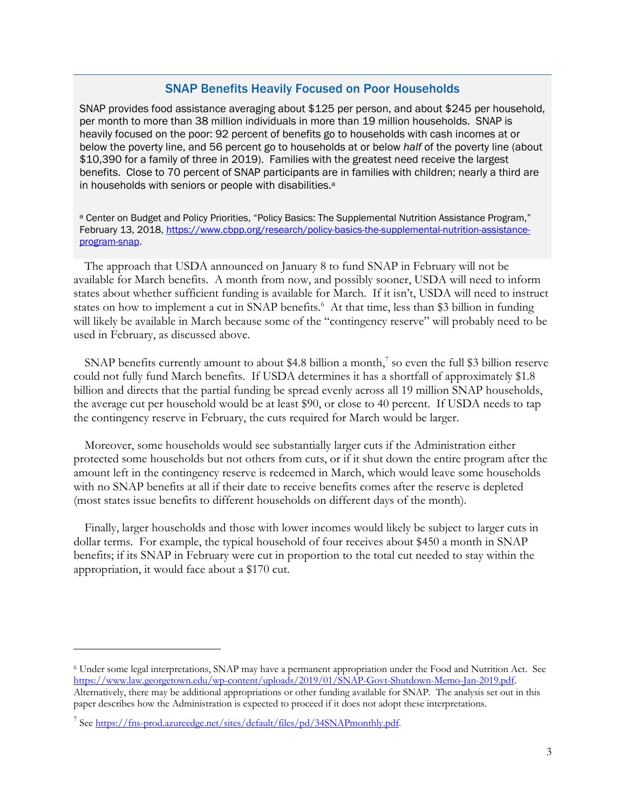#### SNAP Benefits Heavily Focused on Poor Households

SNAP provides food assistance averaging about \$125 per person, and about \$245 per household, per month to more than 38 million individuals in more than 19 million households. SNAP is heavily focused on the poor: 92 percent of benefits go to households with cash incomes at or below the poverty line, and 56 percent go to households at or below *half* of the poverty line (about \$10,390 for a family of three in 2019). Families with the greatest need receive the largest benefits. Close to 70 percent of SNAP participants are in families with children; nearly a third are in households with seniors or people with disabilities.<sup>a</sup>

a Center on Budget and Policy Priorities, "Policy Basics: The Supplemental Nutrition Assistance Program," February 13, 2018, https://www.cbpp.org/research/policy-basics-the-supplemental-nutrition-assistanceprogram-snap.

The approach that USDA announced on January 8 to fund SNAP in February will not be available for March benefits. A month from now, and possibly sooner, USDA will need to inform states about whether sufficient funding is available for March. If it isn't, USDA will need to instruct states on how to implement a cut in SNAP benefits.<sup>6</sup> At that time, less than \$3 billion in funding will likely be available in March because some of the "contingency reserve" will probably need to be used in February, as discussed above.

SNAP benefits currently amount to about \$4.8 billion a month,<sup>7</sup> so even the full \$3 billion reserve could not fully fund March benefits. If USDA determines it has a shortfall of approximately \$1.8 billion and directs that the partial funding be spread evenly across all 19 million SNAP households, the average cut per household would be at least \$90, or close to 40 percent. If USDA needs to tap the contingency reserve in February, the cuts required for March would be larger.

Moreover, some households would see substantially larger cuts if the Administration either protected some households but not others from cuts, or if it shut down the entire program after the amount left in the contingency reserve is redeemed in March, which would leave some households with no SNAP benefits at all if their date to receive benefits comes after the reserve is depleted (most states issue benefits to different households on different days of the month).

Finally, larger households and those with lower incomes would likely be subject to larger cuts in dollar terms. For example, the typical household of four receives about \$450 a month in SNAP benefits; if its SNAP in February were cut in proportion to the total cut needed to stay within the appropriation, it would face about a \$170 cut.

 $\overline{a}$ 

<sup>6</sup> Under some legal interpretations, SNAP may have a permanent appropriation under the Food and Nutrition Act. See https://www.law.georgetown.edu/wp-content/uploads/2019/01/SNAP-Govt-Shutdown-Memo-Jan-2019.pdf.

Alternatively, there may be additional appropriations or other funding available for SNAP. The analysis set out in this paper describes how the Administration is expected to proceed if it does not adopt these interpretations.

<sup>&</sup>lt;sup>7</sup> See https://fns-prod.azureedge.net/sites/default/files/pd/34SNAPmonthly.pdf.